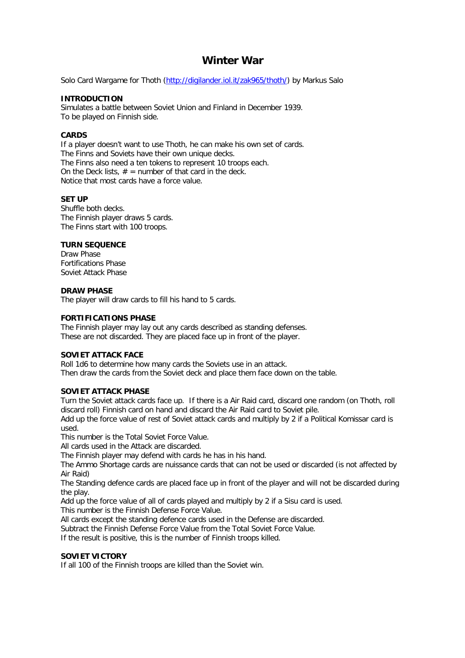# **Winter War**

Solo Card Wargame for Thoth (http://digilander.iol.it/zak965/thoth/) by Markus Salo

# **INTRODUCTION**

Simulates a battle between Soviet Union and Finland in December 1939. To be played on Finnish side.

## **CARDS**

If a player doesn't want to use Thoth, he can make his own set of cards. The Finns and Soviets have their own unique decks. The Finns also need a ten tokens to represent 10 troops each. On the Deck lists,  $# =$  number of that card in the deck. Notice that most cards have a force value.

## **SET UP**

Shuffle both decks. The Finnish player draws 5 cards. The Finns start with 100 troops.

# **TURN SEQUENCE**

Draw Phase Fortifications Phase Soviet Attack Phase

## **DRAW PHASE**

The player will draw cards to fill his hand to 5 cards.

#### **FORTIFICATIONS PHASE**

The Finnish player may lay out any cards described as standing defenses. These are not discarded. They are placed face up in front of the player.

#### **SOVIET ATTACK FACE**

Roll 1d6 to determine how many cards the Soviets use in an attack. Then draw the cards from the Soviet deck and place them face down on the table.

# **SOVIET ATTACK PHASE**

Turn the Soviet attack cards face up. If there is a Air Raid card, discard one random (on Thoth, roll discard roll) Finnish card on hand and discard the Air Raid card to Soviet pile.

Add up the force value of rest of Soviet attack cards and multiply by 2 if a Political Komissar card is used.

This number is the Total Soviet Force Value.

All cards used in the Attack are discarded.

The Finnish player may defend with cards he has in his hand.

The Ammo Shortage cards are nuissance cards that can not be used or discarded (is not affected by Air Raid)

The Standing defence cards are placed face up in front of the player and will not be discarded during the play.

Add up the force value of all of cards played and multiply by 2 if a Sisu card is used.

This number is the Finnish Defense Force Value.

All cards except the standing defence cards used in the Defense are discarded.

Subtract the Finnish Defense Force Value from the Total Soviet Force Value.

If the result is positive, this is the number of Finnish troops killed.

# **SOVIET VICTORY**

If all 100 of the Finnish troops are killed than the Soviet win.